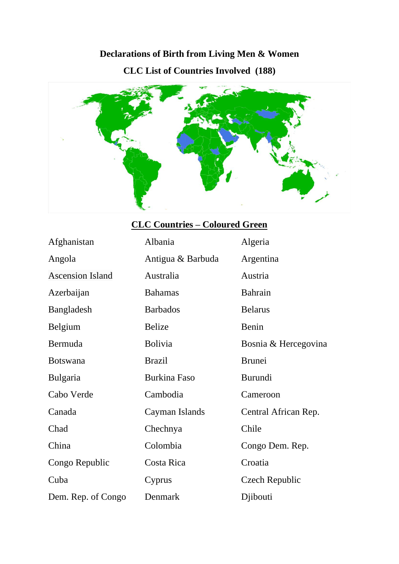## **Declarations of Birth from Living Men & Women**

**CLC List of Countries Involved (188)**



## **CLC Countries – Coloured Green**

| Afghanistan             | Albania             | Algeria               |
|-------------------------|---------------------|-----------------------|
| Angola                  | Antigua & Barbuda   | Argentina             |
| <b>Ascension Island</b> | Australia           | Austria               |
| Azerbaijan              | <b>Bahamas</b>      | <b>Bahrain</b>        |
| Bangladesh              | <b>Barbados</b>     | <b>Belarus</b>        |
| Belgium                 | <b>Belize</b>       | Benin                 |
| Bermuda                 | <b>Bolivia</b>      | Bosnia & Hercegovina  |
| <b>Botswana</b>         | <b>Brazil</b>       | <b>Brunei</b>         |
| <b>Bulgaria</b>         | <b>Burkina Faso</b> | <b>Burundi</b>        |
| Cabo Verde              | Cambodia            | Cameroon              |
| Canada                  | Cayman Islands      | Central African Rep.  |
| Chad                    | Chechnya            | Chile                 |
| China                   | Colombia            | Congo Dem. Rep.       |
| Congo Republic          | Costa Rica          | Croatia               |
| Cuba                    | Cyprus              | <b>Czech Republic</b> |
| Dem. Rep. of Congo      | Denmark             | Djibouti              |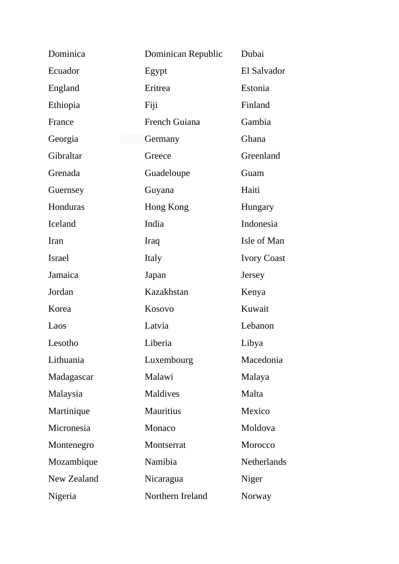| Dominica      | Dominican Republic   | Dubai              |
|---------------|----------------------|--------------------|
| Ecuador       | Egypt                | El Salvador        |
| England       | Eritrea              | Estonia            |
| Ethiopia      | Fiji                 | Finland            |
| France        | <b>French Guiana</b> | Gambia             |
| Georgia       | Germany              | Ghana              |
| Gibraltar     | Greece               | Greenland          |
| Grenada       | Guadeloupe           | Guam               |
| Guernsey      | Guyana               | Haiti              |
| Honduras      | Hong Kong            | Hungary            |
| Iceland       | India                | Indonesia          |
| Iran          | Iraq                 | Isle of Man        |
| <b>Israel</b> | Italy                | <b>Ivory Coast</b> |
| Jamaica       | Japan                | Jersey             |
| Jordan        | Kazakhstan           | Kenya              |
| Korea         | Kosovo               | Kuwait             |
| Laos          | Latvia               | Lebanon            |
| Lesotho       | Liberia              | Libya              |
| Lithuania     | Luxembourg           | Macedonia          |
| Madagascar    | Malawi               | Malaya             |
| Malaysia      | Maldives             | Malta              |
| Martinique    | Mauritius            | Mexico             |
| Micronesia    | Monaco               | Moldova            |
| Montenegro    | Montserrat           | Morocco            |
| Mozambique    | Namibia              | Netherlands        |
| New Zealand   | Nicaragua            | Niger              |
| Nigeria       | Northern Ireland     | Norway             |